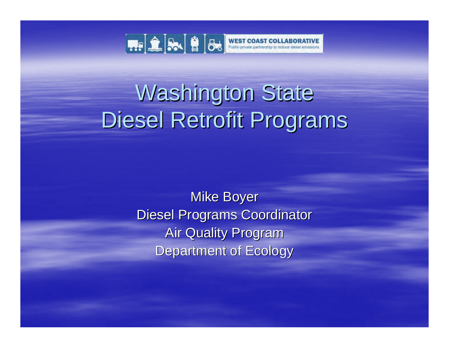

### **Washington State** Diesel Retrofit Programs

**Mike Boyer** Diesel Programs Coordinator **Air Quality Program** Department of Ecology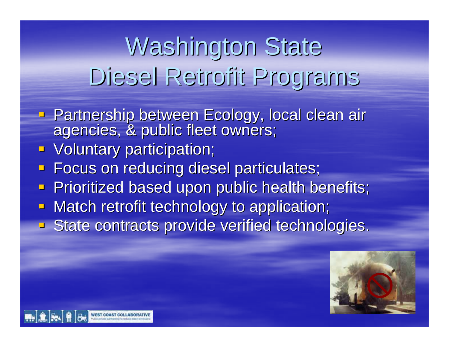# **Washington State** Diesel Retrofit Programs Diesel Retrofit Programs

- Partnership between Ecology, local clean air<br>agencies, & public fleet owners;
- **U** Voluntary participation;

**BU WEST COAST COLL** 

- **Focus on reducing diesel particulates;**
- **Prioritized based upon public health benefits;**
- **Match retrofit technology to application;**
- **State contracts provide verified technologies.**

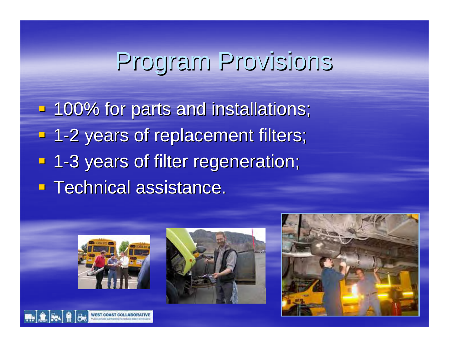## Program Provisions Program Provisions

**- 100% for parts and installations; - 1-2 years of replacement filters;** e<br>Sa **- 1-3 years of filter regeneration; Technical assistance.** 





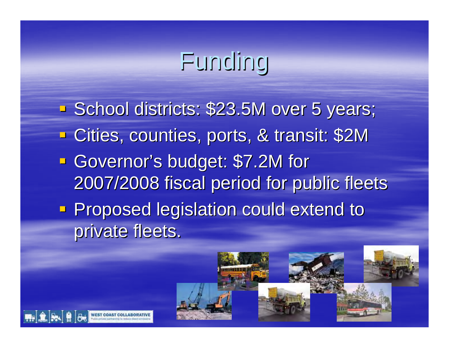# Funding

School districts: \$23.5M over 5 years; Cities, counties, ports, & transit: \$2M Cities, counties, ports, & transit: \$2M Governor's budget: \$7.2M for 2007/2008 fiscal period for public fleets 2007/2008 fiscal period for public fleets **Proposed legislation could extend to Proposed legislation could extend to** private fleets.

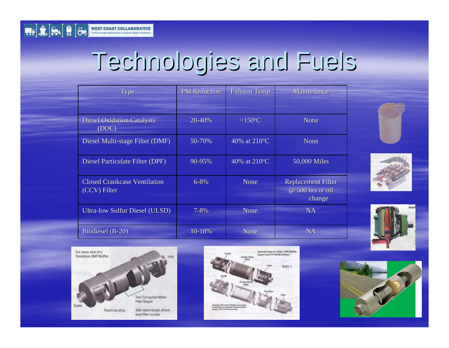

| Type                                                | <b>PM Reduction</b> | <b>Exhaust Temp</b> | Maintenance                                             |
|-----------------------------------------------------|---------------------|---------------------|---------------------------------------------------------|
|                                                     |                     |                     |                                                         |
| <b>Diesel Oxidation Catalysts</b><br>(DOC)          | 20-40%              | $>150^{\circ}$ C    | <b>None</b>                                             |
| Diesel Multi-stage Filter (DMF)                     | 50-70%              | 40% at 210°C        | <b>None</b>                                             |
| Diesel Particulate Filter (DPF)                     | 90-95%              | 40% at 210°C        | 50,000 Miles                                            |
| <b>Closed Crankcase Ventilation</b><br>(CCV) Filter | $6 - 8\%$           | None                | <b>Replacement Filter</b><br>@ 500 hrs or oil<br>change |
| <b>Ultra-low Sulfur Diesel (ULSD)</b>               | $7 - 8\%$           | <b>None</b>         | <b>NA</b>                                               |
| Biodiesel (B-20)                                    | 10-18%              | None                | <b>NA</b>                                               |









**THE SAID BUSICOAST COLLABORATIVE** 



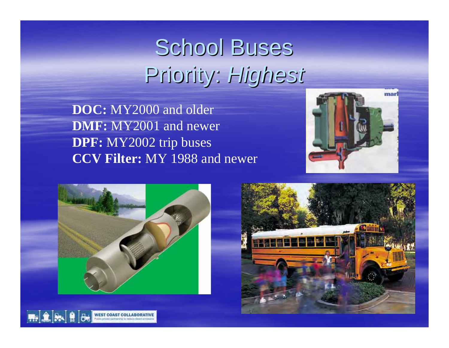## **School Buses** Priority: Priority: *Highest Highest*

**DOC:** MY2000 and older **DMF:** MY2001 and newer **DPF:** MY2002 trip buses **CCV Filter:** MY 1988 and newer







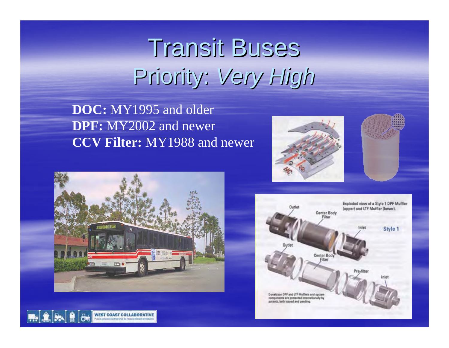# **Transit Buses** Priority: Priority: *Very High Very High*

#### **DOC:** MY1995 and older **DPF:** MY2002 and newer **CCV Filter:** MY1988 and newer







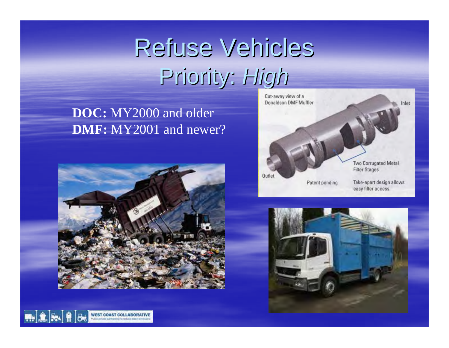# Refuse Vehicles Priority: Priority: *High*

#### **DOC:** MY2000 and older **DMF:** MY2001 and newer?







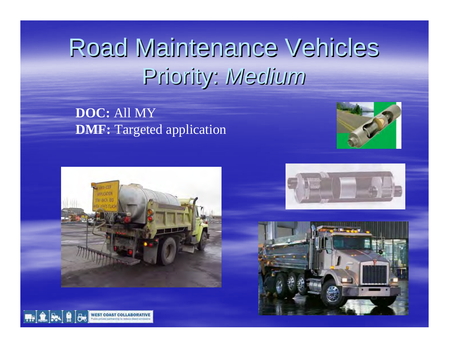# Road Maintenance Vehicles Priority: Priority: *Medium*

**DOC:** All MY **DMF:** Targeted application





**M. LA S. BE** 



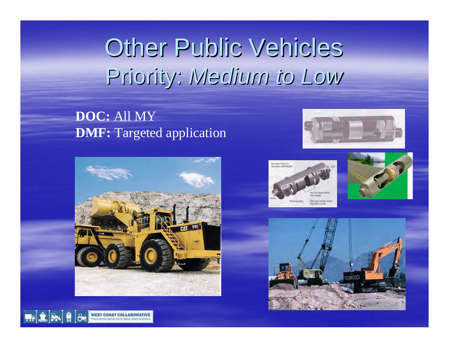# **Other Public Vehicles** Priority: *Medium to Low*

#### **DOC:** All MY **DMF:** Targeted application



**WEST COAST COLL** 

 $\overline{\delta}$ 

明皇以皇







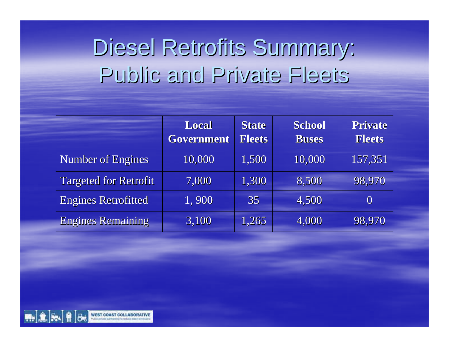### Diesel Retrofits Summary: Public and Private Fleets

|                              | <b>Local</b><br><b>Government</b> | <b>State</b><br><b>Fleets</b> | <b>School</b><br><b>Buses</b> | <b>Private</b><br><b>Fleets</b> |
|------------------------------|-----------------------------------|-------------------------------|-------------------------------|---------------------------------|
| <b>Number of Engines</b>     | 10,000                            | 1,500                         | 10,000                        | 157,351                         |
| <b>Targeted for Retrofit</b> | 7,000                             | 1,300                         | 8,500                         | 98,970                          |
| <b>Engines Retrofitted</b>   | 1,900                             | 35                            | 4,500                         | $\bf{0}$                        |
| <b>Engines Remaining</b>     | 3,100                             | 1,265                         | 4,000                         | 98,970                          |

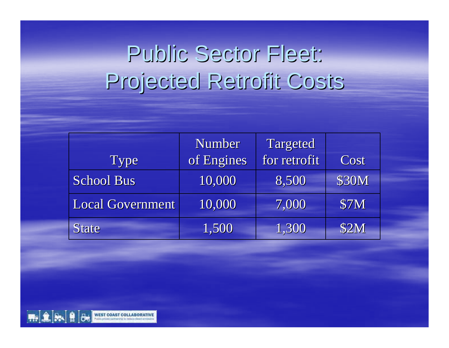## Public Sector Fleet: Projected Retrofit Costs Projected Retrofit Costs

|                   | Number     | Targeted     |             |
|-------------------|------------|--------------|-------------|
| <b>Type</b>       | of Engines | for retrofit | Cost        |
| <b>School Bus</b> | 10,000     | 8,500        | \$30M       |
| Local Government  | 10,000     | (7,000)      | <b>\$7M</b> |
| <b>State</b>      | 1,500      | 1,300        | <b>\$2M</b> |